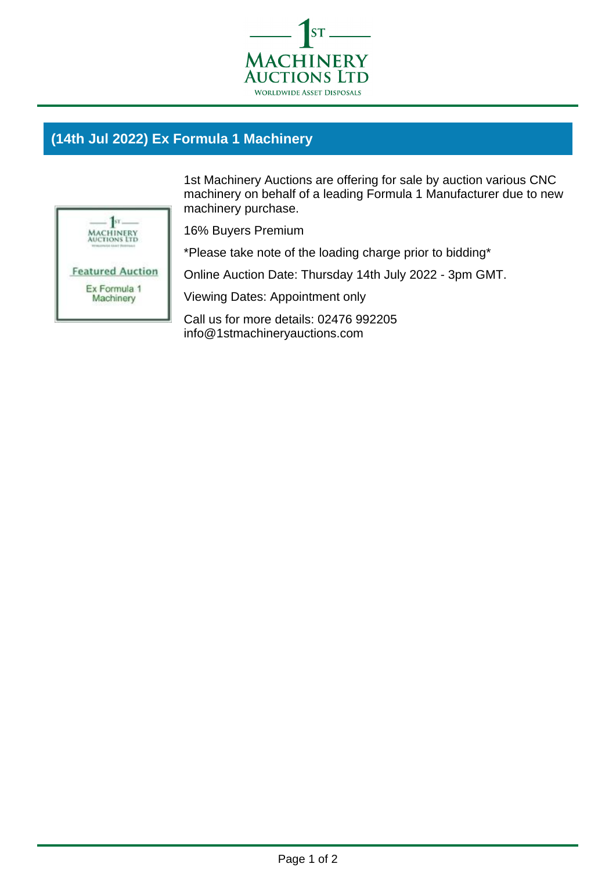

## **(14th Jul 2022) Ex Formula 1 Machinery**



1st Machinery Auctions are offering for sale by auction various CNC machinery on behalf of a leading Formula 1 Manufacturer due to new machinery purchase.

16% Buyers Premium

\*Please take note of the loading charge prior to bidding\*

Online Auction Date: Thursday 14th July 2022 - 3pm GMT.

Viewing Dates: Appointment only

Call us for more details: 02476 992205 info@1stmachineryauctions.com